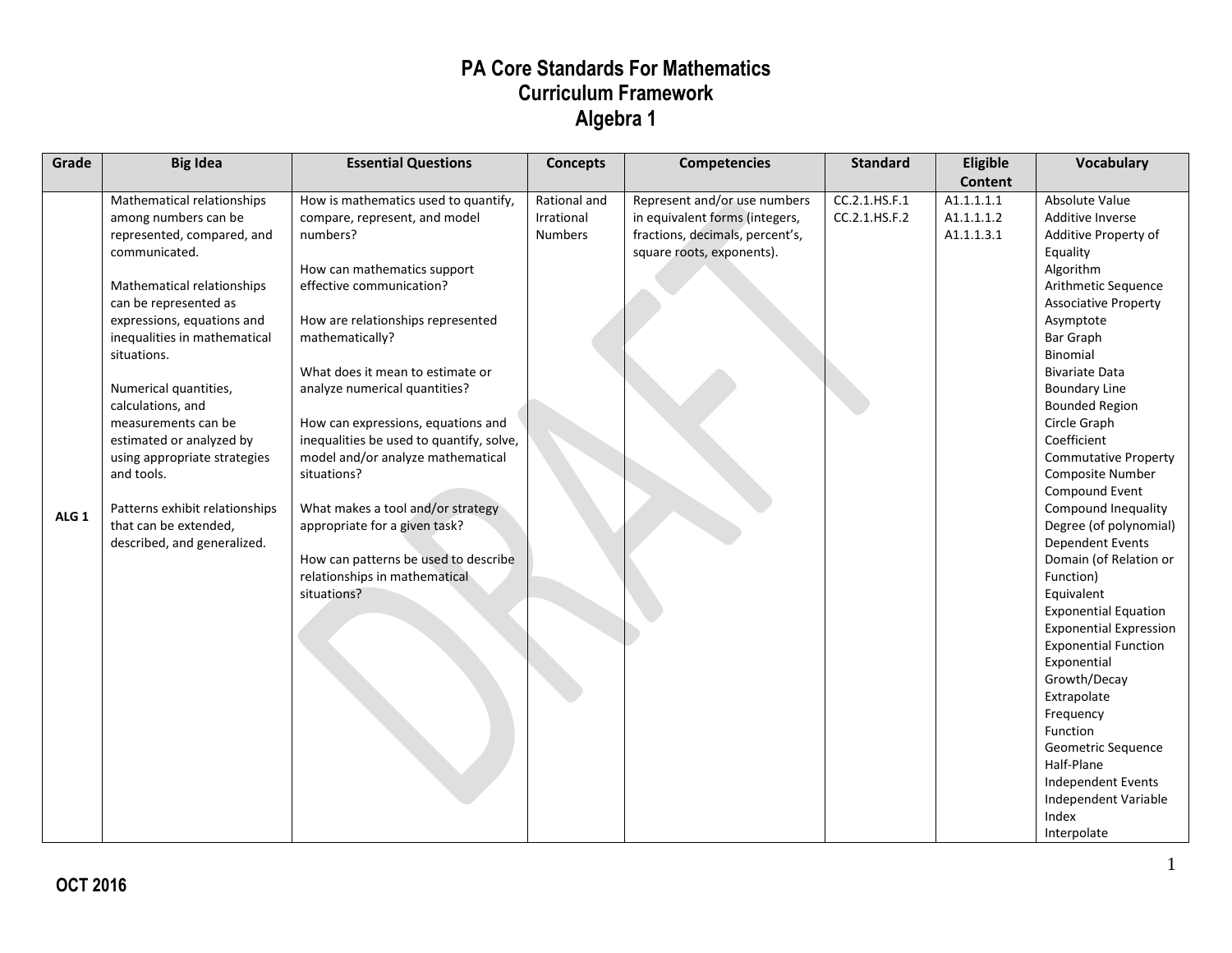| Grade            | <b>Big Idea</b>                | <b>Essential Questions</b>               | <b>Concepts</b> | <b>Competencies</b>             | <b>Standard</b> | Eligible       | Vocabulary                    |
|------------------|--------------------------------|------------------------------------------|-----------------|---------------------------------|-----------------|----------------|-------------------------------|
|                  |                                |                                          |                 |                                 |                 | <b>Content</b> |                               |
|                  | Mathematical relationships     | How is mathematics used to quantify,     | Rational and    | Represent and/or use numbers    | CC.2.1.HS.F.1   | A1.1.1.1.1     | Absolute Value                |
|                  | among numbers can be           | compare, represent, and model            | Irrational      | in equivalent forms (integers,  | CC.2.1.HS.F.2   | A1.1.1.1.2     | Additive Inverse              |
|                  | represented, compared, and     | numbers?                                 | <b>Numbers</b>  | fractions, decimals, percent's, |                 | A1.1.1.3.1     | Additive Property of          |
|                  | communicated.                  |                                          |                 | square roots, exponents).       |                 |                | Equality                      |
|                  |                                | How can mathematics support              |                 |                                 |                 |                | Algorithm                     |
|                  | Mathematical relationships     | effective communication?                 |                 |                                 |                 |                | Arithmetic Sequence           |
|                  | can be represented as          |                                          |                 |                                 |                 |                | <b>Associative Property</b>   |
|                  | expressions, equations and     | How are relationships represented        |                 |                                 |                 |                | Asymptote                     |
|                  | inequalities in mathematical   | mathematically?                          |                 |                                 |                 |                | <b>Bar Graph</b>              |
|                  | situations.                    |                                          |                 |                                 |                 |                | Binomial                      |
|                  |                                | What does it mean to estimate or         |                 |                                 |                 |                | <b>Bivariate Data</b>         |
|                  | Numerical quantities,          | analyze numerical quantities?            |                 |                                 |                 |                | <b>Boundary Line</b>          |
|                  | calculations, and              |                                          |                 |                                 |                 |                | <b>Bounded Region</b>         |
|                  | measurements can be            | How can expressions, equations and       |                 |                                 |                 |                | Circle Graph                  |
|                  | estimated or analyzed by       | inequalities be used to quantify, solve, |                 |                                 |                 |                | Coefficient                   |
|                  | using appropriate strategies   | model and/or analyze mathematical        |                 |                                 |                 |                | <b>Commutative Property</b>   |
|                  | and tools.                     | situations?                              |                 |                                 |                 |                | Composite Number              |
|                  |                                |                                          |                 |                                 |                 |                | Compound Event                |
| ALG <sub>1</sub> | Patterns exhibit relationships | What makes a tool and/or strategy        |                 |                                 |                 |                | Compound Inequality           |
|                  | that can be extended,          | appropriate for a given task?            |                 |                                 |                 |                | Degree (of polynomial)        |
|                  | described, and generalized.    |                                          |                 |                                 |                 |                | Dependent Events              |
|                  |                                | How can patterns be used to describe     |                 |                                 |                 |                | Domain (of Relation or        |
|                  |                                | relationships in mathematical            |                 |                                 |                 |                | Function)                     |
|                  |                                | situations?                              |                 |                                 |                 |                | Equivalent                    |
|                  |                                |                                          |                 |                                 |                 |                | <b>Exponential Equation</b>   |
|                  |                                |                                          |                 |                                 |                 |                | <b>Exponential Expression</b> |
|                  |                                |                                          |                 |                                 |                 |                | <b>Exponential Function</b>   |
|                  |                                |                                          |                 |                                 |                 |                | Exponential<br>Growth/Decay   |
|                  |                                |                                          |                 |                                 |                 |                | Extrapolate                   |
|                  |                                |                                          |                 |                                 |                 |                | Frequency                     |
|                  |                                |                                          |                 |                                 |                 |                | Function                      |
|                  |                                |                                          |                 |                                 |                 |                | Geometric Sequence            |
|                  |                                |                                          |                 |                                 |                 |                | Half-Plane                    |
|                  |                                |                                          |                 |                                 |                 |                | Independent Events            |
|                  |                                |                                          |                 |                                 |                 |                | Independent Variable          |
|                  |                                |                                          |                 |                                 |                 |                | Index                         |
|                  |                                |                                          |                 |                                 |                 |                | Interpolate                   |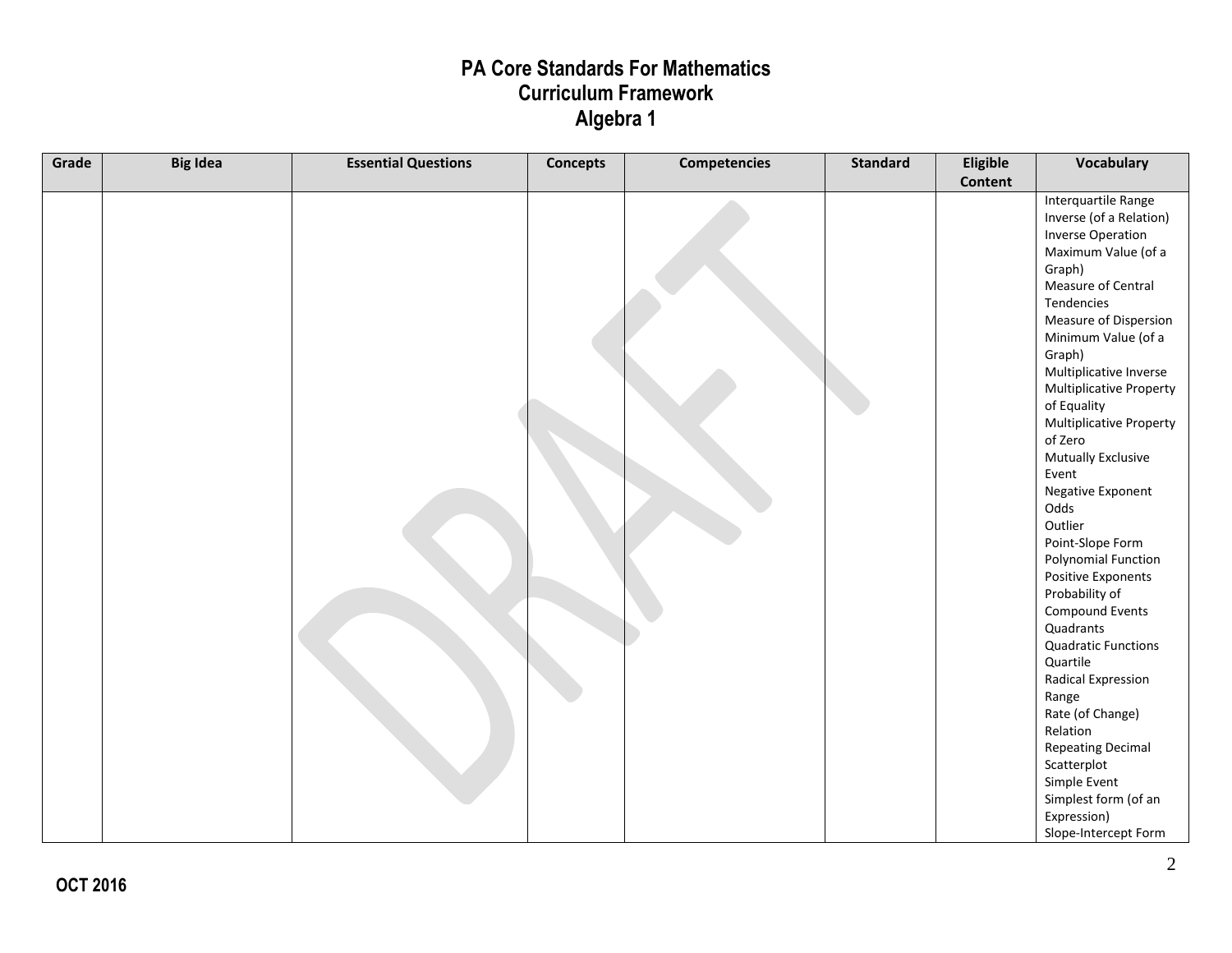| Grade | <b>Big Idea</b> | <b>Essential Questions</b> | <b>Concepts</b> | <b>Competencies</b> | <b>Standard</b> | Eligible | <b>Vocabulary</b>          |
|-------|-----------------|----------------------------|-----------------|---------------------|-----------------|----------|----------------------------|
|       |                 |                            |                 |                     |                 | Content  |                            |
|       |                 |                            |                 |                     |                 |          | Interquartile Range        |
|       |                 |                            |                 |                     |                 |          | Inverse (of a Relation)    |
|       |                 |                            |                 |                     |                 |          | <b>Inverse Operation</b>   |
|       |                 |                            |                 |                     |                 |          | Maximum Value (of a        |
|       |                 |                            |                 |                     |                 |          | Graph)                     |
|       |                 |                            |                 |                     |                 |          | Measure of Central         |
|       |                 |                            |                 |                     |                 |          | Tendencies                 |
|       |                 |                            |                 |                     |                 |          | Measure of Dispersion      |
|       |                 |                            |                 |                     |                 |          | Minimum Value (of a        |
|       |                 |                            |                 |                     |                 |          | Graph)                     |
|       |                 |                            |                 |                     |                 |          | Multiplicative Inverse     |
|       |                 |                            |                 |                     |                 |          | Multiplicative Property    |
|       |                 |                            |                 |                     |                 |          | of Equality                |
|       |                 |                            |                 |                     |                 |          | Multiplicative Property    |
|       |                 |                            |                 |                     |                 |          | of Zero                    |
|       |                 |                            |                 |                     |                 |          | Mutually Exclusive         |
|       |                 |                            |                 |                     |                 |          | Event                      |
|       |                 |                            |                 |                     |                 |          | Negative Exponent          |
|       |                 |                            |                 |                     |                 |          | Odds                       |
|       |                 |                            |                 |                     |                 |          | Outlier                    |
|       |                 |                            |                 |                     |                 |          | Point-Slope Form           |
|       |                 |                            |                 |                     |                 |          | Polynomial Function        |
|       |                 |                            |                 |                     |                 |          | Positive Exponents         |
|       |                 |                            |                 |                     |                 |          | Probability of             |
|       |                 |                            |                 |                     |                 |          | Compound Events            |
|       |                 |                            |                 |                     |                 |          | Quadrants                  |
|       |                 |                            |                 |                     |                 |          | <b>Quadratic Functions</b> |
|       |                 |                            |                 |                     |                 |          | Quartile                   |
|       |                 |                            |                 |                     |                 |          | Radical Expression         |
|       |                 |                            |                 |                     |                 |          | Range                      |
|       |                 |                            |                 |                     |                 |          | Rate (of Change)           |
|       |                 |                            |                 |                     |                 |          | Relation                   |
|       |                 |                            |                 |                     |                 |          | <b>Repeating Decimal</b>   |
|       |                 |                            |                 |                     |                 |          | Scatterplot                |
|       |                 |                            |                 |                     |                 |          | Simple Event               |
|       |                 |                            |                 |                     |                 |          | Simplest form (of an       |
|       |                 |                            |                 |                     |                 |          | Expression)                |
|       |                 |                            |                 |                     |                 |          | Slope-Intercept Form       |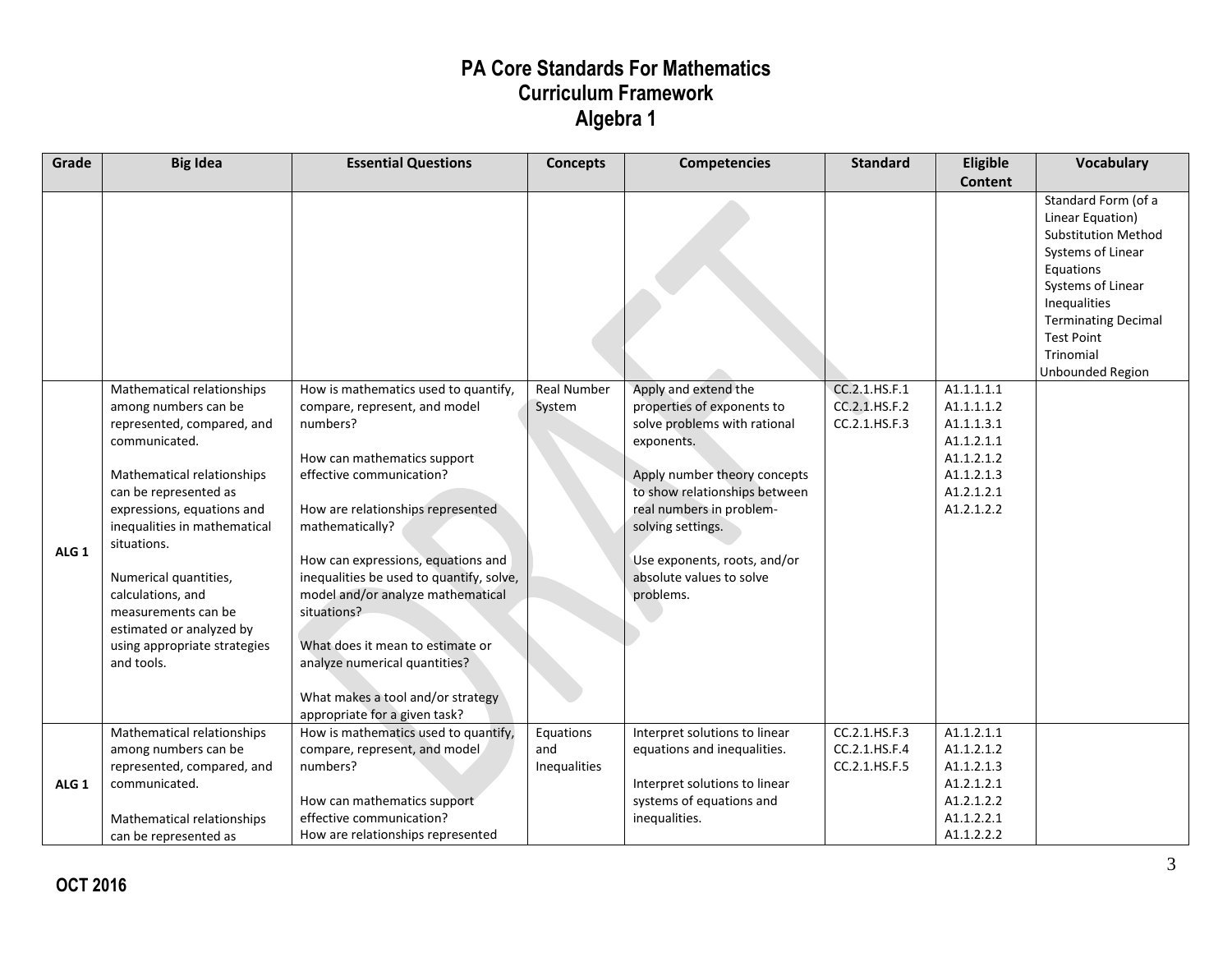| Grade            | <b>Big Idea</b>                                                                                                                                                                                                                                                                                                                                                                      | <b>Essential Questions</b>                                                                                                                                                                                                                                                                                                                                                                                                                                                            | <b>Concepts</b>                  | <b>Competencies</b>                                                                                                                                                                                                                                                                         | <b>Standard</b>                                 | Eligible                                                                                                     | <b>Vocabulary</b>                                                                                                                                                                                                                       |
|------------------|--------------------------------------------------------------------------------------------------------------------------------------------------------------------------------------------------------------------------------------------------------------------------------------------------------------------------------------------------------------------------------------|---------------------------------------------------------------------------------------------------------------------------------------------------------------------------------------------------------------------------------------------------------------------------------------------------------------------------------------------------------------------------------------------------------------------------------------------------------------------------------------|----------------------------------|---------------------------------------------------------------------------------------------------------------------------------------------------------------------------------------------------------------------------------------------------------------------------------------------|-------------------------------------------------|--------------------------------------------------------------------------------------------------------------|-----------------------------------------------------------------------------------------------------------------------------------------------------------------------------------------------------------------------------------------|
|                  |                                                                                                                                                                                                                                                                                                                                                                                      |                                                                                                                                                                                                                                                                                                                                                                                                                                                                                       |                                  |                                                                                                                                                                                                                                                                                             |                                                 | <b>Content</b>                                                                                               |                                                                                                                                                                                                                                         |
|                  |                                                                                                                                                                                                                                                                                                                                                                                      |                                                                                                                                                                                                                                                                                                                                                                                                                                                                                       |                                  |                                                                                                                                                                                                                                                                                             |                                                 |                                                                                                              | Standard Form (of a<br>Linear Equation)<br><b>Substitution Method</b><br>Systems of Linear<br>Equations<br>Systems of Linear<br>Inequalities<br><b>Terminating Decimal</b><br><b>Test Point</b><br>Trinomial<br><b>Unbounded Region</b> |
| ALG <sub>1</sub> | Mathematical relationships<br>among numbers can be<br>represented, compared, and<br>communicated.<br>Mathematical relationships<br>can be represented as<br>expressions, equations and<br>inequalities in mathematical<br>situations.<br>Numerical quantities,<br>calculations, and<br>measurements can be<br>estimated or analyzed by<br>using appropriate strategies<br>and tools. | How is mathematics used to quantify,<br>compare, represent, and model<br>numbers?<br>How can mathematics support<br>effective communication?<br>How are relationships represented<br>mathematically?<br>How can expressions, equations and<br>inequalities be used to quantify, solve,<br>model and/or analyze mathematical<br>situations?<br>What does it mean to estimate or<br>analyze numerical quantities?<br>What makes a tool and/or strategy<br>appropriate for a given task? | <b>Real Number</b><br>System     | Apply and extend the<br>properties of exponents to<br>solve problems with rational<br>exponents.<br>Apply number theory concepts<br>to show relationships between<br>real numbers in problem-<br>solving settings.<br>Use exponents, roots, and/or<br>absolute values to solve<br>problems. | CC.2.1.HS.F.1<br>CC.2.1.HS.F.2<br>CC.2.1.HS.F.3 | A1.1.1.1.1<br>A1.1.1.1.2<br>A1.1.1.3.1<br>A1.1.2.1.1<br>A1.1.2.1.2<br>A1.1.2.1.3<br>A1.2.1.2.1<br>A1.2.1.2.2 |                                                                                                                                                                                                                                         |
| ALG <sub>1</sub> | Mathematical relationships<br>among numbers can be<br>represented, compared, and<br>communicated.<br>Mathematical relationships<br>can be represented as                                                                                                                                                                                                                             | How is mathematics used to quantify,<br>compare, represent, and model<br>numbers?<br>How can mathematics support<br>effective communication?<br>How are relationships represented                                                                                                                                                                                                                                                                                                     | Equations<br>and<br>Inequalities | Interpret solutions to linear<br>equations and inequalities.<br>Interpret solutions to linear<br>systems of equations and<br>inequalities.                                                                                                                                                  | CC.2.1.HS.F.3<br>CC.2.1.HS.F.4<br>CC.2.1.HS.F.5 | A1.1.2.1.1<br>A1.1.2.1.2<br>A1.1.2.1.3<br>A1.2.1.2.1<br>A1.2.1.2.2<br>A1.1.2.2.1<br>A1.1.2.2.2               |                                                                                                                                                                                                                                         |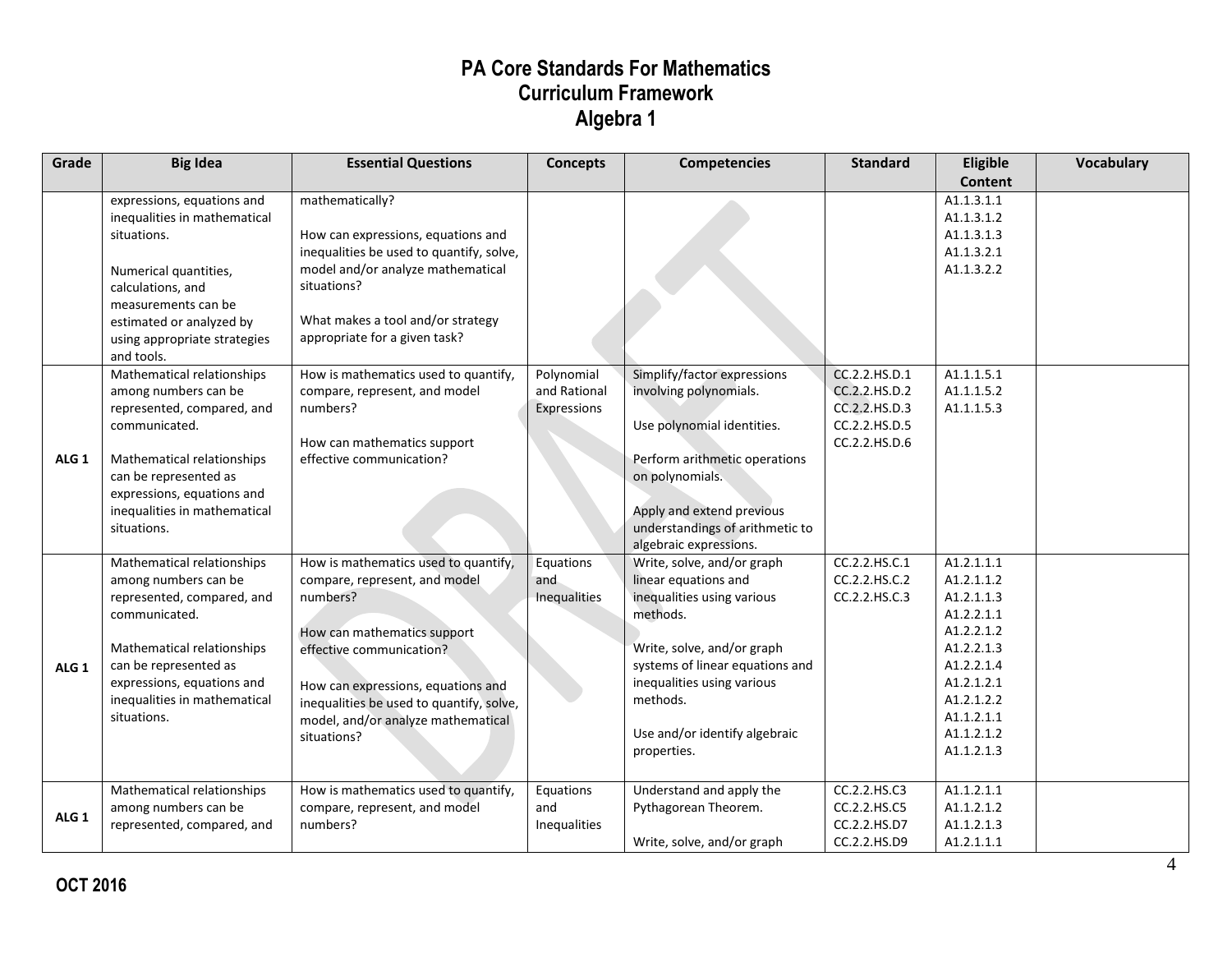| Grade            | <b>Big Idea</b>                                                                                                                                                                                                                       | <b>Essential Questions</b>                                                                                                                                                                                                                                                          | <b>Concepts</b>                           | <b>Competencies</b>                                                                                                                                                                                                                                     | <b>Standard</b>                                                                   | Eligible                                                                                                                                                             | <b>Vocabulary</b> |
|------------------|---------------------------------------------------------------------------------------------------------------------------------------------------------------------------------------------------------------------------------------|-------------------------------------------------------------------------------------------------------------------------------------------------------------------------------------------------------------------------------------------------------------------------------------|-------------------------------------------|---------------------------------------------------------------------------------------------------------------------------------------------------------------------------------------------------------------------------------------------------------|-----------------------------------------------------------------------------------|----------------------------------------------------------------------------------------------------------------------------------------------------------------------|-------------------|
|                  | expressions, equations and<br>inequalities in mathematical<br>situations.<br>Numerical quantities,<br>calculations, and<br>measurements can be<br>estimated or analyzed by<br>using appropriate strategies<br>and tools.              | mathematically?<br>How can expressions, equations and<br>inequalities be used to quantify, solve,<br>model and/or analyze mathematical<br>situations?<br>What makes a tool and/or strategy<br>appropriate for a given task?                                                         |                                           |                                                                                                                                                                                                                                                         |                                                                                   | <b>Content</b><br>A1.1.3.1.1<br>A1.1.3.1.2<br>A1.1.3.1.3<br>A1.1.3.2.1<br>A1.1.3.2.2                                                                                 |                   |
| ALG <sub>1</sub> | Mathematical relationships<br>among numbers can be<br>represented, compared, and<br>communicated.<br>Mathematical relationships<br>can be represented as<br>expressions, equations and<br>inequalities in mathematical<br>situations. | How is mathematics used to quantify,<br>compare, represent, and model<br>numbers?<br>How can mathematics support<br>effective communication?                                                                                                                                        | Polynomial<br>and Rational<br>Expressions | Simplify/factor expressions<br>involving polynomials.<br>Use polynomial identities.<br>Perform arithmetic operations<br>on polynomials.<br>Apply and extend previous<br>understandings of arithmetic to<br>algebraic expressions.                       | CC.2.2.HS.D.1<br>CC.2.2.HS.D.2<br>CC.2.2.HS.D.3<br>CC.2.2.HS.D.5<br>CC.2.2.HS.D.6 | A1.1.1.5.1<br>A1.1.1.5.2<br>A1.1.1.5.3                                                                                                                               |                   |
| ALG <sub>1</sub> | Mathematical relationships<br>among numbers can be<br>represented, compared, and<br>communicated.<br>Mathematical relationships<br>can be represented as<br>expressions, equations and<br>inequalities in mathematical<br>situations. | How is mathematics used to quantify,<br>compare, represent, and model<br>numbers?<br>How can mathematics support<br>effective communication?<br>How can expressions, equations and<br>inequalities be used to quantify, solve,<br>model, and/or analyze mathematical<br>situations? | Equations<br>and<br>Inequalities          | Write, solve, and/or graph<br>linear equations and<br>inequalities using various<br>methods.<br>Write, solve, and/or graph<br>systems of linear equations and<br>inequalities using various<br>methods.<br>Use and/or identify algebraic<br>properties. | CC.2.2.HS.C.1<br>CC.2.2.HS.C.2<br>CC.2.2.HS.C.3                                   | A1.2.1.1.1<br>A1.2.1.1.2<br>A1.2.1.1.3<br>A1.2.2.1.1<br>A1.2.2.1.2<br>A1.2.2.1.3<br>A1.2.2.1.4<br>A1.2.1.2.1<br>A1.2.1.2.2<br>A1.1.2.1.1<br>A1.1.2.1.2<br>A1.1.2.1.3 |                   |
| ALG <sub>1</sub> | Mathematical relationships<br>among numbers can be<br>represented, compared, and                                                                                                                                                      | How is mathematics used to quantify,<br>compare, represent, and model<br>numbers?                                                                                                                                                                                                   | Equations<br>and<br>Inequalities          | Understand and apply the<br>Pythagorean Theorem.<br>Write, solve, and/or graph                                                                                                                                                                          | CC.2.2.HS.C3<br>CC.2.2.HS.C5<br>CC.2.2.HS.D7<br>CC.2.2.HS.D9                      | A1.1.2.1.1<br>A1.1.2.1.2<br>A1.1.2.1.3<br>A1.2.1.1.1                                                                                                                 |                   |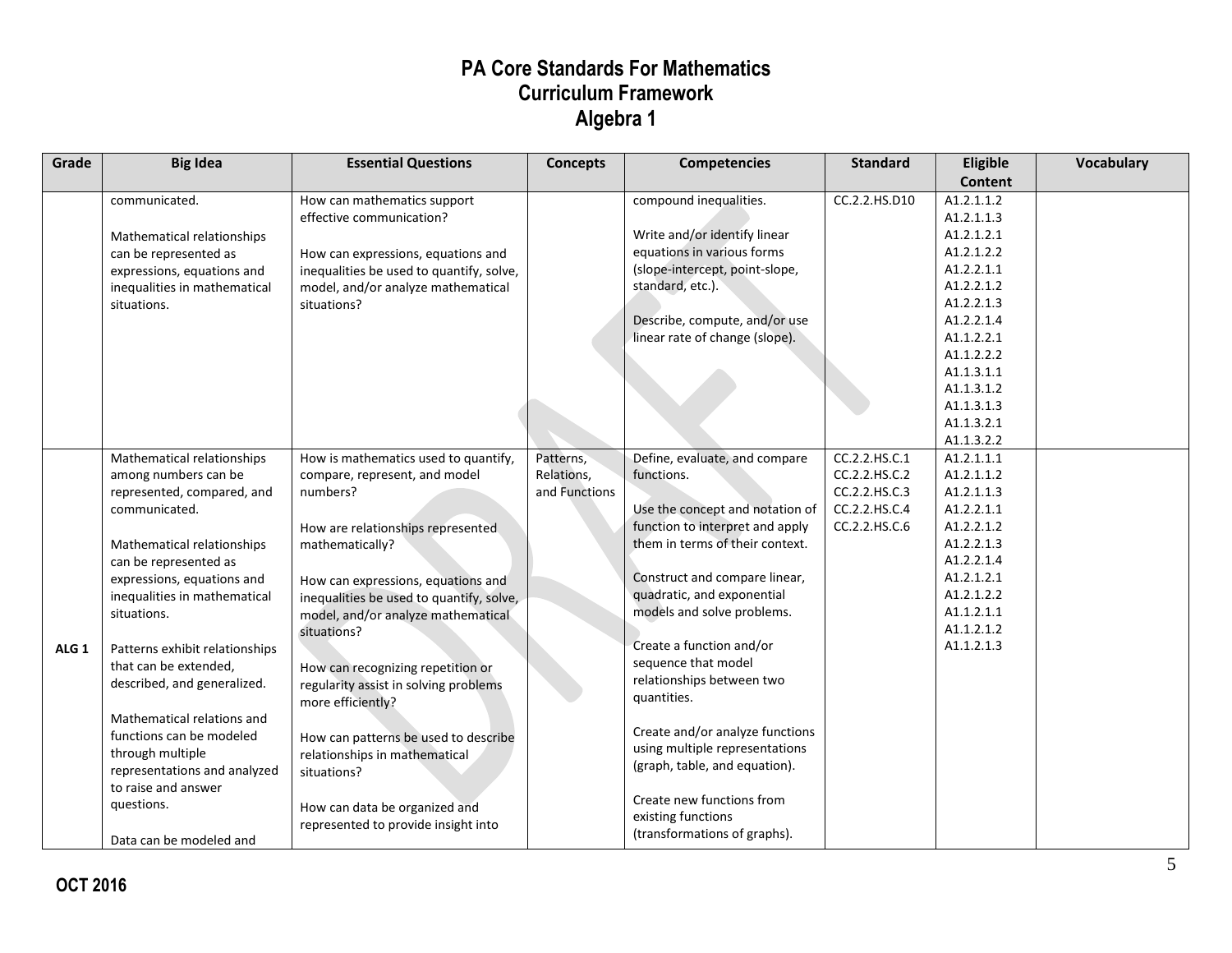| Grade            | <b>Big Idea</b>                                     | <b>Essential Questions</b>               | <b>Concepts</b> | Competencies                                                       | <b>Standard</b> | Eligible                 | Vocabulary |
|------------------|-----------------------------------------------------|------------------------------------------|-----------------|--------------------------------------------------------------------|-----------------|--------------------------|------------|
|                  |                                                     |                                          |                 |                                                                    |                 | <b>Content</b>           |            |
|                  | communicated.                                       | How can mathematics support              |                 | compound inequalities.                                             | CC.2.2.HS.D10   | A1.2.1.1.2               |            |
|                  |                                                     | effective communication?                 |                 |                                                                    |                 | A1.2.1.1.3               |            |
|                  | Mathematical relationships                          |                                          |                 | Write and/or identify linear                                       |                 | A1.2.1.2.1               |            |
|                  | can be represented as                               | How can expressions, equations and       |                 | equations in various forms                                         |                 | A1.2.1.2.2               |            |
|                  | expressions, equations and                          | inequalities be used to quantify, solve, |                 | (slope-intercept, point-slope,                                     |                 | A1.2.2.1.1               |            |
|                  | inequalities in mathematical                        | model, and/or analyze mathematical       |                 | standard, etc.).                                                   |                 | A1.2.2.1.2               |            |
|                  | situations.                                         | situations?                              |                 |                                                                    |                 | A1.2.2.1.3               |            |
|                  |                                                     |                                          |                 | Describe, compute, and/or use                                      |                 | A1.2.2.1.4               |            |
|                  |                                                     |                                          |                 | linear rate of change (slope).                                     |                 | A1.1.2.2.1               |            |
|                  |                                                     |                                          |                 |                                                                    |                 | A1.1.2.2.2               |            |
|                  |                                                     |                                          |                 |                                                                    |                 | A1.1.3.1.1               |            |
|                  |                                                     |                                          |                 |                                                                    |                 | A1.1.3.1.2               |            |
|                  |                                                     |                                          |                 |                                                                    |                 | A1.1.3.1.3               |            |
|                  |                                                     |                                          |                 |                                                                    |                 | A1.1.3.2.1               |            |
|                  |                                                     |                                          |                 |                                                                    |                 | A1.1.3.2.2               |            |
|                  | Mathematical relationships                          | How is mathematics used to quantify,     | Patterns,       | Define, evaluate, and compare                                      | CC.2.2.HS.C.1   | A1.2.1.1.1               |            |
|                  | among numbers can be                                | compare, represent, and model            | Relations,      | functions.                                                         | CC.2.2.HS.C.2   | A1.2.1.1.2               |            |
|                  | represented, compared, and                          | numbers?                                 | and Functions   |                                                                    | CC.2.2.HS.C.3   | A1.2.1.1.3               |            |
|                  | communicated.                                       |                                          |                 | Use the concept and notation of                                    | CC.2.2.HS.C.4   | A1.2.2.1.1               |            |
|                  |                                                     | How are relationships represented        |                 | function to interpret and apply<br>them in terms of their context. | CC.2.2.HS.C.6   | A1.2.2.1.2<br>A1.2.2.1.3 |            |
|                  | Mathematical relationships                          | mathematically?                          |                 |                                                                    |                 |                          |            |
|                  | can be represented as                               |                                          |                 | Construct and compare linear,                                      |                 | A1.2.2.1.4<br>A1.2.1.2.1 |            |
|                  | expressions, equations and                          | How can expressions, equations and       |                 | quadratic, and exponential                                         |                 | A1.2.1.2.2               |            |
|                  | inequalities in mathematical                        | inequalities be used to quantify, solve, |                 | models and solve problems.                                         |                 | A1.1.2.1.1               |            |
|                  | situations.                                         | model, and/or analyze mathematical       |                 |                                                                    |                 | A1.1.2.1.2               |            |
|                  |                                                     | situations?                              |                 | Create a function and/or                                           |                 | A1.1.2.1.3               |            |
| ALG <sub>1</sub> | Patterns exhibit relationships                      |                                          |                 | sequence that model                                                |                 |                          |            |
|                  | that can be extended,                               | How can recognizing repetition or        |                 | relationships between two                                          |                 |                          |            |
|                  | described, and generalized.                         | regularity assist in solving problems    |                 | quantities.                                                        |                 |                          |            |
|                  |                                                     | more efficiently?                        |                 |                                                                    |                 |                          |            |
|                  | Mathematical relations and                          |                                          |                 | Create and/or analyze functions                                    |                 |                          |            |
|                  | functions can be modeled                            | How can patterns be used to describe     |                 | using multiple representations                                     |                 |                          |            |
|                  | through multiple                                    | relationships in mathematical            |                 | (graph, table, and equation).                                      |                 |                          |            |
|                  | representations and analyzed<br>to raise and answer | situations?                              |                 |                                                                    |                 |                          |            |
|                  |                                                     |                                          |                 | Create new functions from                                          |                 |                          |            |
|                  | questions.                                          | How can data be organized and            |                 | existing functions                                                 |                 |                          |            |
|                  |                                                     | represented to provide insight into      |                 | (transformations of graphs).                                       |                 |                          |            |
|                  | Data can be modeled and                             |                                          |                 |                                                                    |                 |                          |            |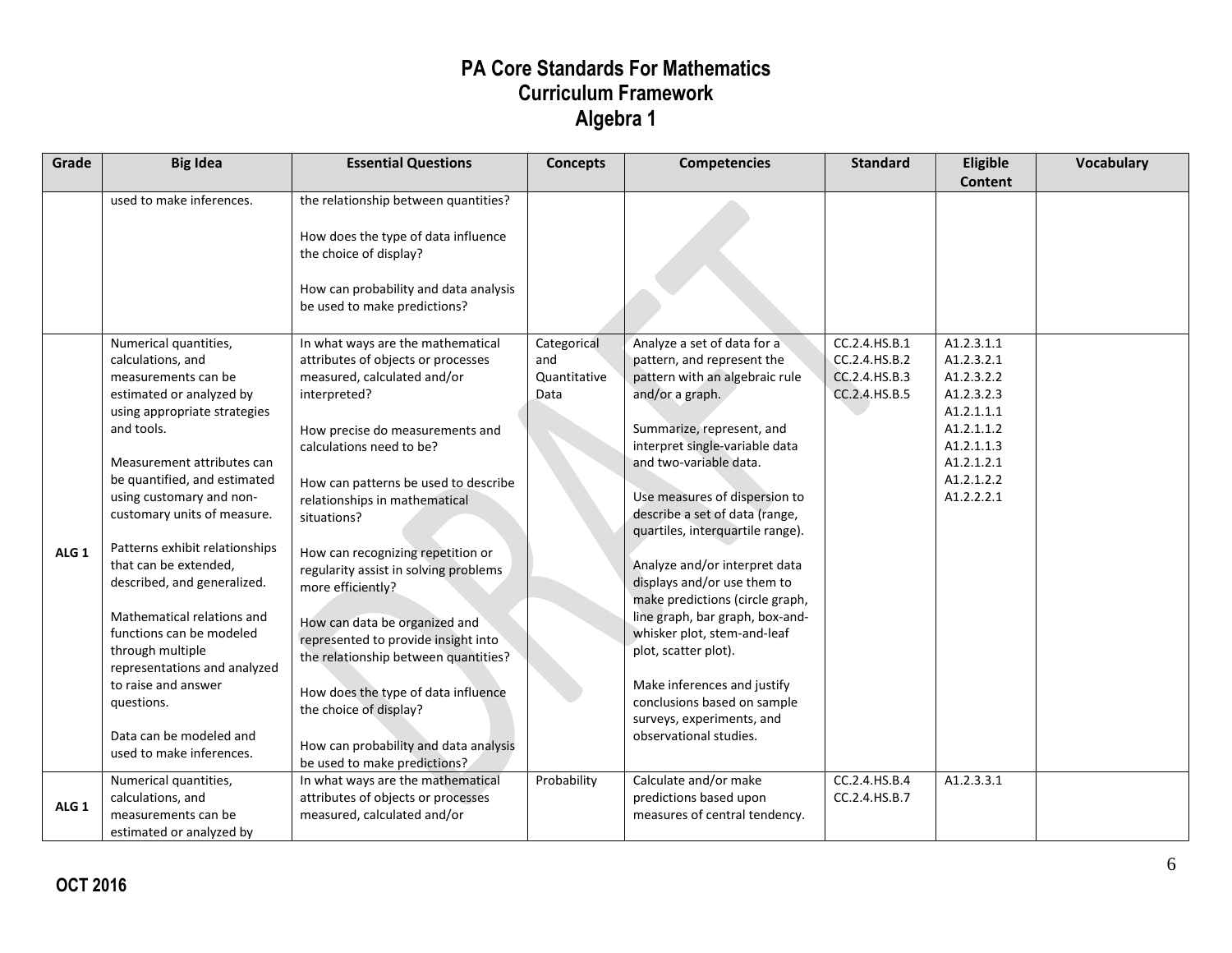| Grade            | <b>Big Idea</b>                                                                                                                                                                                                                                                                                                                                                                                                                                                                                                                                                          | <b>Essential Questions</b>                                                                                                                                                                                                                                                                                                                                                                                                                                                                                                                                                                                                                 | <b>Concepts</b>                            | <b>Competencies</b>                                                                                                                                                                                                                                                                                                                                                                                                                                                                                                                                                                                                              | <b>Standard</b>                                                  | Eligible<br><b>Content</b>                                                                                                               | <b>Vocabulary</b> |
|------------------|--------------------------------------------------------------------------------------------------------------------------------------------------------------------------------------------------------------------------------------------------------------------------------------------------------------------------------------------------------------------------------------------------------------------------------------------------------------------------------------------------------------------------------------------------------------------------|--------------------------------------------------------------------------------------------------------------------------------------------------------------------------------------------------------------------------------------------------------------------------------------------------------------------------------------------------------------------------------------------------------------------------------------------------------------------------------------------------------------------------------------------------------------------------------------------------------------------------------------------|--------------------------------------------|----------------------------------------------------------------------------------------------------------------------------------------------------------------------------------------------------------------------------------------------------------------------------------------------------------------------------------------------------------------------------------------------------------------------------------------------------------------------------------------------------------------------------------------------------------------------------------------------------------------------------------|------------------------------------------------------------------|------------------------------------------------------------------------------------------------------------------------------------------|-------------------|
|                  | used to make inferences.                                                                                                                                                                                                                                                                                                                                                                                                                                                                                                                                                 | the relationship between quantities?<br>How does the type of data influence<br>the choice of display?<br>How can probability and data analysis<br>be used to make predictions?                                                                                                                                                                                                                                                                                                                                                                                                                                                             |                                            |                                                                                                                                                                                                                                                                                                                                                                                                                                                                                                                                                                                                                                  |                                                                  |                                                                                                                                          |                   |
| ALG <sub>1</sub> | Numerical quantities,<br>calculations, and<br>measurements can be<br>estimated or analyzed by<br>using appropriate strategies<br>and tools.<br>Measurement attributes can<br>be quantified, and estimated<br>using customary and non-<br>customary units of measure.<br>Patterns exhibit relationships<br>that can be extended,<br>described, and generalized.<br>Mathematical relations and<br>functions can be modeled<br>through multiple<br>representations and analyzed<br>to raise and answer<br>questions.<br>Data can be modeled and<br>used to make inferences. | In what ways are the mathematical<br>attributes of objects or processes<br>measured, calculated and/or<br>interpreted?<br>How precise do measurements and<br>calculations need to be?<br>How can patterns be used to describe<br>relationships in mathematical<br>situations?<br>How can recognizing repetition or<br>regularity assist in solving problems<br>more efficiently?<br>How can data be organized and<br>represented to provide insight into<br>the relationship between quantities?<br>How does the type of data influence<br>the choice of display?<br>How can probability and data analysis<br>be used to make predictions? | Categorical<br>and<br>Quantitative<br>Data | Analyze a set of data for a<br>pattern, and represent the<br>pattern with an algebraic rule<br>and/or a graph.<br>Summarize, represent, and<br>interpret single-variable data<br>and two-variable data.<br>Use measures of dispersion to<br>describe a set of data (range,<br>quartiles, interquartile range).<br>Analyze and/or interpret data<br>displays and/or use them to<br>make predictions (circle graph,<br>line graph, bar graph, box-and-<br>whisker plot, stem-and-leaf<br>plot, scatter plot).<br>Make inferences and justify<br>conclusions based on sample<br>surveys, experiments, and<br>observational studies. | CC.2.4.HS.B.1<br>CC.2.4.HS.B.2<br>CC.2.4.HS.B.3<br>CC.2.4.HS.B.5 | A1.2.3.1.1<br>A1.2.3.2.1<br>A1.2.3.2.2<br>A1.2.3.2.3<br>A1.2.1.1.1<br>A1.2.1.1.2<br>A1.2.1.1.3<br>A1.2.1.2.1<br>A1.2.1.2.2<br>A1.2.2.2.1 |                   |
| ALG <sub>1</sub> | Numerical quantities,<br>calculations, and<br>measurements can be<br>estimated or analyzed by                                                                                                                                                                                                                                                                                                                                                                                                                                                                            | In what ways are the mathematical<br>attributes of objects or processes<br>measured, calculated and/or                                                                                                                                                                                                                                                                                                                                                                                                                                                                                                                                     | Probability                                | Calculate and/or make<br>predictions based upon<br>measures of central tendency.                                                                                                                                                                                                                                                                                                                                                                                                                                                                                                                                                 | CC.2.4.HS.B.4<br>CC.2.4.HS.B.7                                   | A1.2.3.3.1                                                                                                                               |                   |